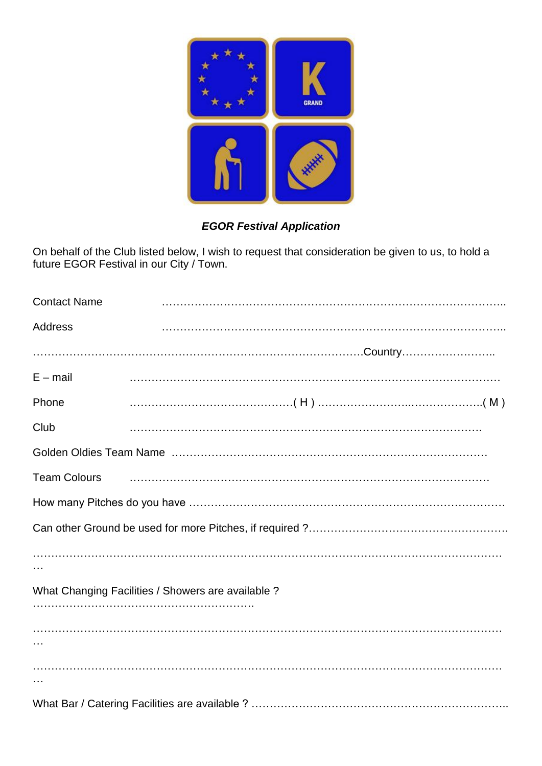

## *EGOR Festival Application*

On behalf of the Club listed below, I wish to request that consideration be given to us, to hold a future EGOR Festival in our City / Town.

| <b>Contact Name</b> |                                                    |
|---------------------|----------------------------------------------------|
| Address             |                                                    |
|                     |                                                    |
| $E - mail$          |                                                    |
| Phone               |                                                    |
| Club                |                                                    |
|                     |                                                    |
| <b>Team Colours</b> |                                                    |
|                     |                                                    |
|                     |                                                    |
|                     |                                                    |
|                     |                                                    |
|                     | What Changing Facilities / Showers are available ? |
|                     |                                                    |
|                     |                                                    |
|                     |                                                    |
|                     |                                                    |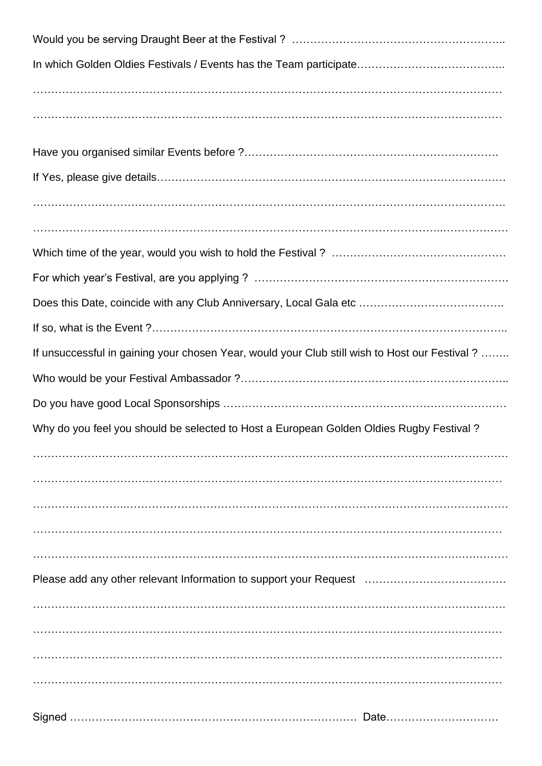| If unsuccessful in gaining your chosen Year, would your Club still wish to Host our Festival ? |
|------------------------------------------------------------------------------------------------|
|                                                                                                |
|                                                                                                |
| Why do you feel you should be selected to Host a European Golden Oldies Rugby Festival?        |
|                                                                                                |
|                                                                                                |
|                                                                                                |
|                                                                                                |
|                                                                                                |
|                                                                                                |
|                                                                                                |
|                                                                                                |
|                                                                                                |
|                                                                                                |
|                                                                                                |
|                                                                                                |